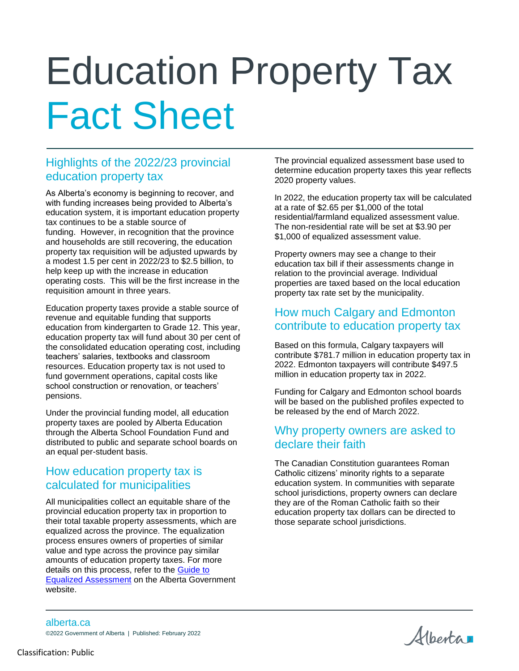# Education Property Tax Fact Sheet

# Highlights of the 2022/23 provincial education property tax

As Alberta's economy is beginning to recover, and with funding increases being provided to Alberta's education system, it is important education property tax continues to be a stable source of funding. However, in recognition that the province and households are still recovering, the education property tax requisition will be adjusted upwards by a modest 1.5 per cent in 2022/23 to \$2.5 billion, to help keep up with the increase in education operating costs. This will be the first increase in the requisition amount in three years.

Education property taxes provide a stable source of revenue and equitable funding that supports education from kindergarten to Grade 12. This year, education property tax will fund about 30 per cent of the consolidated education operating cost, including teachers' salaries, textbooks and classroom resources. Education property tax is not used to fund government operations, capital costs like school construction or renovation, or teachers' pensions.

Under the provincial funding model, all education property taxes are pooled by Alberta Education through the Alberta School Foundation Fund and distributed to public and separate school boards on an equal per-student basis.

## How education property tax is calculated for municipalities

All municipalities collect an equitable share of the provincial education property tax in proportion to their total taxable property assessments, which are equalized across the province. The equalization process ensures owners of properties of similar value and type across the province pay similar amounts of education property taxes. For more details on this process, refer to the [Guide to](https://open.alberta.ca/publications/5333000)  [Equalized Assessment](https://open.alberta.ca/publications/5333000) on the Alberta Government website.

The provincial equalized assessment base used to determine education property taxes this year reflects 2020 property values.

In 2022, the education property tax will be calculated at a rate of \$2.65 per \$1,000 of the total residential/farmland equalized assessment value. The non-residential rate will be set at \$3.90 per \$1,000 of equalized assessment value.

Property owners may see a change to their education tax bill if their assessments change in relation to the provincial average. Individual properties are taxed based on the local education property tax rate set by the municipality.

#### How much Calgary and Edmonton contribute to education property tax

Based on this formula, Calgary taxpayers will contribute \$781.7 million in education property tax in 2022. Edmonton taxpayers will contribute \$497.5 million in education property tax in 2022.

Funding for Calgary and Edmonton school boards will be based on the published profiles expected to be released by the end of March 2022.

#### Why property owners are asked to declare their faith

The Canadian Constitution guarantees Roman Catholic citizens' minority rights to a separate education system. In communities with separate school jurisdictions, property owners can declare they are of the Roman Catholic faith so their education property tax dollars can be directed to those separate school jurisdictions.

Alberta